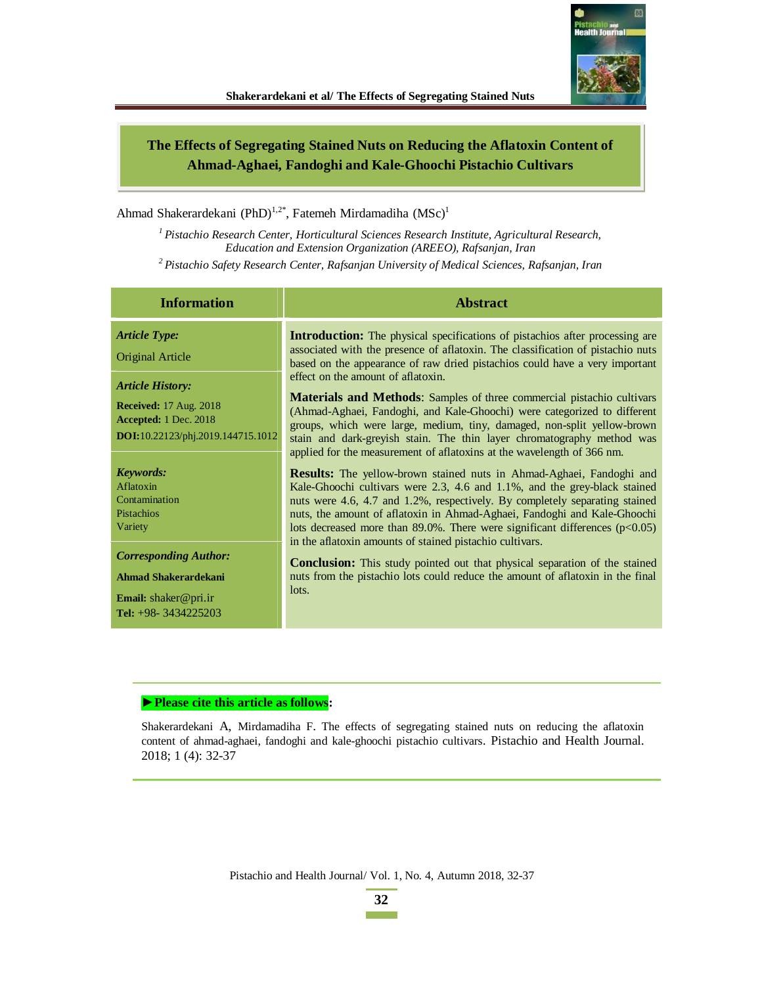

# **The Effects of Segregating Stained Nuts on Reducing the Aflatoxin Content of Ahmad-Aghaei, Fandoghi and Kale-Ghoochi Pistachio Cultivars**

Ahmad Shakerardekani (PhD)<sup>1,2\*</sup>, Fatemeh Mirdamadiha (MSc)<sup>1</sup>

*<sup>1</sup>Pistachio Research Center, Horticultural Sciences Research Institute, Agricultural Research, Education and Extension Organization (AREEO), Rafsanjan, Iran* 

*<sup>2</sup>Pistachio Safety Research Center, Rafsanjan University of Medical Sciences, Rafsanjan, Iran* 

| <b>Information</b>                                                                                                     | <b>Abstract</b>                                                                                                                                                                                                                                                                                                                                                                                                                                                |  |  |  |
|------------------------------------------------------------------------------------------------------------------------|----------------------------------------------------------------------------------------------------------------------------------------------------------------------------------------------------------------------------------------------------------------------------------------------------------------------------------------------------------------------------------------------------------------------------------------------------------------|--|--|--|
| <b>Article Type:</b><br>Original Article                                                                               | <b>Introduction:</b> The physical specifications of pistachios after processing are<br>associated with the presence of aflatoxin. The classification of pistachio nuts<br>based on the appearance of raw dried pistachios could have a very important                                                                                                                                                                                                          |  |  |  |
| <b>Article History:</b><br><b>Received:</b> 17 Aug. 2018<br>Accepted: 1 Dec. 2018<br>DOI:10.22123/phj.2019.144715.1012 | effect on the amount of aflatoxin.<br><b>Materials and Methods:</b> Samples of three commercial pistachio cultivars<br>(Ahmad-Aghaei, Fandoghi, and Kale-Ghoochi) were categorized to different<br>groups, which were large, medium, tiny, damaged, non-split yellow-brown<br>stain and dark-greyish stain. The thin layer chromatography method was<br>applied for the measurement of aflatoxins at the wavelength of 366 nm.                                 |  |  |  |
| <b>Keywords:</b><br>Aflatoxin<br>Contamination<br>Pistachios<br>Variety                                                | <b>Results:</b> The yellow-brown stained nuts in Ahmad-Aghaei, Fandoghi and<br>Kale-Ghoochi cultivars were 2.3, 4.6 and 1.1%, and the grey-black stained<br>nuts were 4.6, 4.7 and 1.2%, respectively. By completely separating stained<br>nuts, the amount of aflatoxin in Ahmad-Aghaei, Fandoghi and Kale-Ghoochi<br>lots decreased more than 89.0%. There were significant differences (p<0.05)<br>in the aflatoxin amounts of stained pistachio cultivars. |  |  |  |
| <b>Corresponding Author:</b><br>Ahmad Shakerardekani<br><b>Email:</b> shaker@pri.ir<br>Tel: $+98-3434225203$           | <b>Conclusion:</b> This study pointed out that physical separation of the stained<br>nuts from the pistachio lots could reduce the amount of aflatoxin in the final<br>lots.                                                                                                                                                                                                                                                                                   |  |  |  |

#### $\blacktriangleright$  **Please cite this article as follows:**

Shakerardekani A, Mirdamadiha F. The effects of segregating stained nuts on reducing the aflatoxin content of ahmad-aghaei, fandoghi and kale-ghoochi pistachio cultivars. Pistachio and Health Journal. 2018; 1 (4): 32-37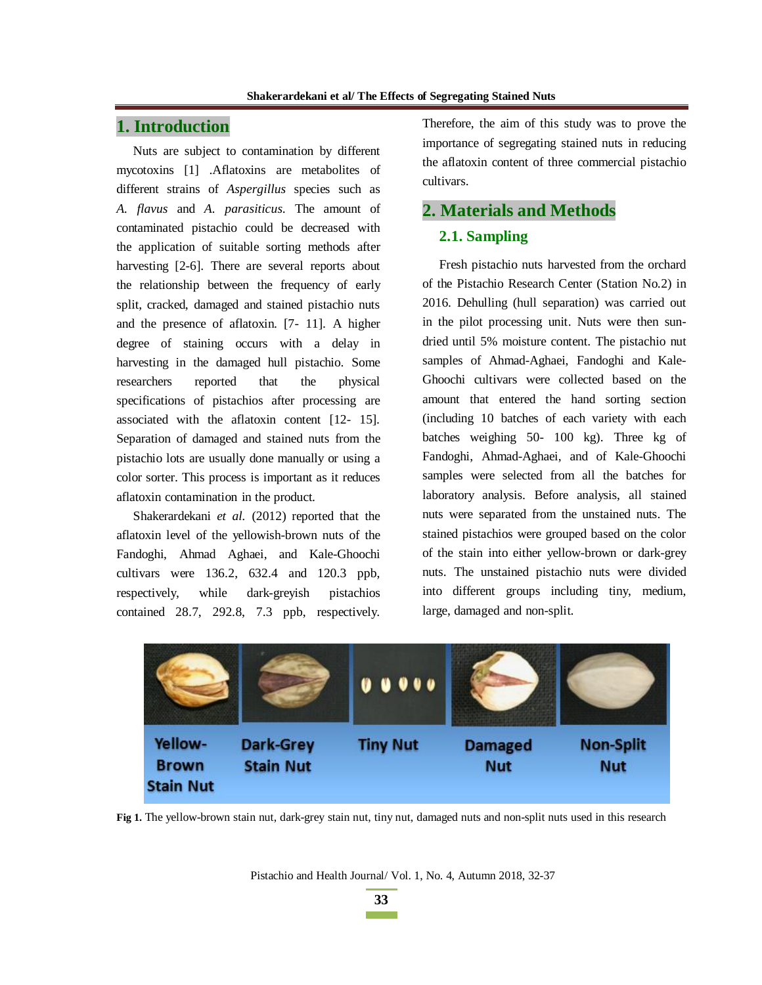# **1. Introduction**

Nuts are subject to contamination by different mycotoxins [1] .Aflatoxins are metabolites of different strains of *Aspergillus* species such as *A. flavus* and *A. parasiticus*. The amount of contaminated pistachio could be decreased with the application of suitable sorting methods after harvesting [2-6]. There are several reports about the relationship between the frequency of early split, cracked, damaged and stained pistachio nuts and the presence of aflatoxin. [7- 11]. A higher degree of staining occurs with a delay in harvesting in the damaged hull pistachio. Some researchers reported that the physical specifications of pistachios after processing are associated with the aflatoxin content [12- 15]. Separation of damaged and stained nuts from the pistachio lots are usually done manually or using a color sorter. This process is important as it reduces aflatoxin contamination in the product.

Shakerardekani *et al.* (2012) reported that the aflatoxin level of the yellowish-brown nuts of the Fandoghi, Ahmad Aghaei, and Kale-Ghoochi cultivars were 136.2, 632.4 and 120.3 ppb, respectively, while dark-greyish pistachios contained 28.7, 292.8, 7.3 ppb, respectively.

Therefore, the aim of this study was to prove the importance of segregating stained nuts in reducing the aflatoxin content of three commercial pistachio cultivars.

### **2. Materials and Methods**

#### **2.1. Sampling**

Fresh pistachio nuts harvested from the orchard of the Pistachio Research Center (Station No.2) in 2016. Dehulling (hull separation) was carried out in the pilot processing unit. Nuts were then sundried until 5% moisture content. The pistachio nut samples of Ahmad-Aghaei, Fandoghi and Kale-Ghoochi cultivars were collected based on the amount that entered the hand sorting section (including 10 batches of each variety with each batches weighing 50- 100 kg). Three kg of Fandoghi, Ahmad-Aghaei, and of Kale-Ghoochi samples were selected from all the batches for laboratory analysis. Before analysis, all stained nuts were separated from the unstained nuts. The stained pistachios were grouped based on the color of the stain into either yellow-brown or dark-grey nuts. The unstained pistachio nuts were divided into different groups including tiny, medium, large, damaged and non-split.



**Fig 1.** The yellow-brown stain nut, dark-grey stain nut, tiny nut, damaged nuts and non-split nuts used in this research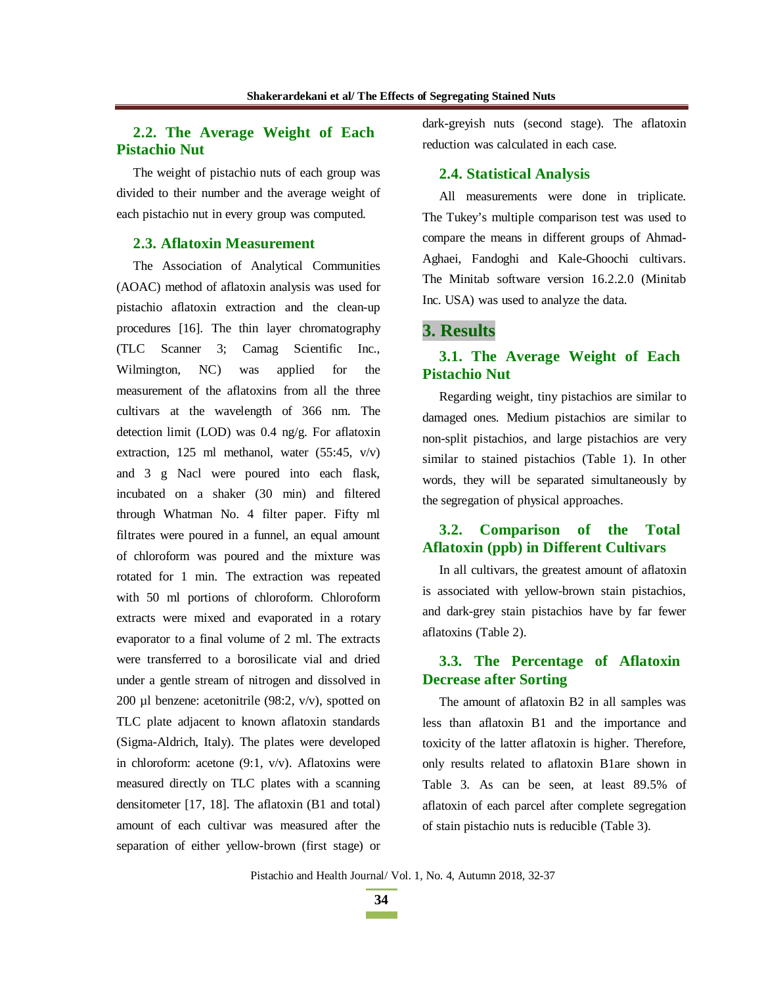# **2.2. The Average Weight of Each Pistachio Nut**

The weight of pistachio nuts of each group was divided to their number and the average weight of each pistachio nut in every group was computed.

#### **2.3. Aflatoxin Measurement**

The Association of Analytical Communities (AOAC) method of aflatoxin analysis was used for pistachio aflatoxin extraction and the clean-up procedures [16]. The thin layer chromatography (TLC Scanner 3; Camag Scientific Inc., Wilmington, NC) was applied for the measurement of the aflatoxins from all the three cultivars at the wavelength of 366 nm. The detection limit (LOD) was 0.4 ng/g. For aflatoxin extraction, 125 ml methanol, water  $(55:45, v/v)$ and 3 g Nacl were poured into each flask, incubated on a shaker (30 min) and filtered through Whatman No. 4 filter paper. Fifty ml filtrates were poured in a funnel, an equal amount of chloroform was poured and the mixture was rotated for 1 min. The extraction was repeated with 50 ml portions of chloroform. Chloroform extracts were mixed and evaporated in a rotary evaporator to a final volume of 2 ml. The extracts were transferred to a borosilicate vial and dried under a gentle stream of nitrogen and dissolved in 200 µl benzene: acetonitrile  $(98:2, v/v)$ , spotted on TLC plate adjacent to known aflatoxin standards (Sigma-Aldrich, Italy). The plates were developed in chloroform: acetone  $(9:1, v/v)$ . Aflatoxins were measured directly on TLC plates with a scanning densitometer [17, 18]. The aflatoxin (B1 and total) amount of each cultivar was measured after the separation of either yellow-brown (first stage) or

dark-greyish nuts (second stage). The aflatoxin reduction was calculated in each case.

#### **2.4. Statistical Analysis**

All measurements were done in triplicate. The Tukey's multiple comparison test was used to compare the means in different groups of Ahmad-Aghaei, Fandoghi and Kale-Ghoochi cultivars. The Minitab software version 16.2.2.0 (Minitab Inc. USA) was used to analyze the data.

### **3. Results**

# **3.1. The Average Weight of Each Pistachio Nut**

Regarding weight, tiny pistachios are similar to damaged ones*.* Medium pistachios are similar to non-split pistachios, and large pistachios are very similar to stained pistachios (Table 1). In other words, they will be separated simultaneously by the segregation of physical approaches.

# **3.2. Comparison of the Total Aflatoxin (ppb) in Different Cultivars**

In all cultivars, the greatest amount of aflatoxin is associated with yellow-brown stain pistachios, and dark-grey stain pistachios have by far fewer aflatoxins (Table 2).

# **3.3. The Percentage of Aflatoxin Decrease after Sorting**

The amount of aflatoxin B2 in all samples was less than aflatoxin B1 and the importance and toxicity of the latter aflatoxin is higher. Therefore, only results related to aflatoxin B1are shown in Table 3. As can be seen, at least 89.5% of aflatoxin of each parcel after complete segregation of stain pistachio nuts is reducible (Table 3).

Pistachio and Health Journal/ Vol. 1, No. 4, Autumn 2018, 32-37

**34**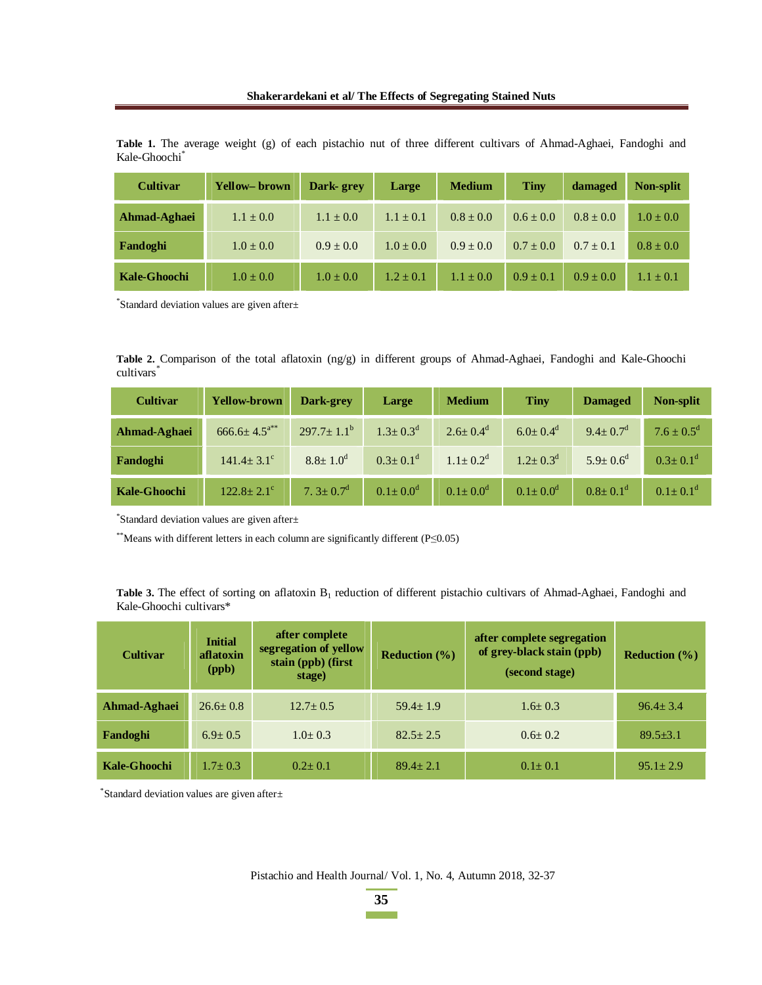| <b>Cultivar</b>     | <b>Yellow–brown</b> | Dark-grev     | Large         | <b>Medium</b> | <b>Tiny</b>   | damaged       | <b>Non-split</b> |
|---------------------|---------------------|---------------|---------------|---------------|---------------|---------------|------------------|
| Ahmad-Aghaei        | $1.1 \pm 0.0$       | $1.1 \pm 0.0$ | $1.1 \pm 0.1$ | $0.8 \pm 0.0$ | $0.6 \pm 0.0$ | $0.8 \pm 0.0$ | $1.0 + 0.0$      |
| Fandoghi            | $1.0 \pm 0.0$       | $0.9 \pm 0.0$ | $1.0 \pm 0.0$ | $0.9 \pm 0.0$ | $0.7 \pm 0.0$ | $0.7 \pm 0.1$ | $0.8 \pm 0.0$    |
| <b>Kale-Ghoochi</b> | $1.0 \pm 0.0$       | $1.0 \pm 0.0$ | $1.2 + 0.1$   | $1.1 \pm 0.0$ | $0.9 \pm 0.1$ | $0.9 \pm 0.0$ | $4.1 \pm 0.1$    |

**Table 1.** The average weight (g) of each pistachio nut of three different cultivars of Ahmad-Aghaei, Fandoghi and Kale-Ghoochi\*

\* Standard deviation values are given after±

**Table 2.** Comparison of the total aflatoxin (ng/g) in different groups of Ahmad-Aghaei, Fandoghi and Kale-Ghoochi cultivars<sup>\*</sup>

| <b>Cultivar</b>     | <b>Yellow-brown</b>          | Dark-grey               | Large                      | <b>Medium</b>              | <b>Tiny</b>                | <b>Damaged</b>             | Non-split                  |
|---------------------|------------------------------|-------------------------|----------------------------|----------------------------|----------------------------|----------------------------|----------------------------|
| Ahmad-Aghaei        | $666.6 \pm 4.5^{a**}$        | $297.7 \pm 1.1^{\rm b}$ | $1.3 \pm 0.3^d$            | $2.6 \pm 0.4$ <sup>d</sup> | $6.0 \pm 0.4$ <sup>d</sup> | $9.4 \pm 0.7$ <sup>d</sup> | $7.6 \pm 0.5^d$            |
| Fandoghi            | $141.4 \pm 3.1$ <sup>c</sup> | $8.8 \pm 1.0^d$         | $0.3 \pm 0.1$ <sup>d</sup> | $1.1 \pm 0.2^d$            | $1.2 \pm 0.3^d$            | $5.9 \pm 0.6^{\circ}$      | $0.3 \pm 0.1$ <sup>d</sup> |
| <b>Kale-Ghoochi</b> | $122.8 \pm 2.1$ <sup>c</sup> | 7. $3 \pm 0.7^d$        | $0.1 \pm 0.0^d$            | $0.1 \pm 0.0^d$            | $0.1 \pm 0.0^d$            | $0.8 \pm 0.1$ <sup>d</sup> | $0.1 \pm 0.1$ <sup>d</sup> |

\* Standard deviation values are given after±

\*\*Means with different letters in each column are significantly different ( $P \le 0.05$ )

Table 3. The effect of sorting on aflatoxin B<sub>1</sub> reduction of different pistachio cultivars of Ahmad-Aghaei, Fandoghi and Kale-Ghoochi cultivars\*

| <b>Cultivar</b> | <b>Initial</b><br>aflatoxin<br>(ppb) | after complete<br>segregation of yellow<br>stain (ppb) (first<br>stage) | after complete segregation<br>of grey-black stain (ppb)<br><b>Reduction</b> $(\%)$<br>(second stage) |               | <b>Reduction</b> $(\%)$ |
|-----------------|--------------------------------------|-------------------------------------------------------------------------|------------------------------------------------------------------------------------------------------|---------------|-------------------------|
| Ahmad-Aghaei    | $26.6 \pm 0.8$                       | $12.7 \pm 0.5$                                                          | $59.4 \pm 1.9$                                                                                       | $1.6 \pm 0.3$ | $96.4 + 3.4$            |
| Fandoghi        | $6.9 + 0.5$                          | $1.0+0.3$                                                               | $82.5 + 2.5$                                                                                         | $0.6 + 0.2$   | $89.5 \pm 3.1$          |
| Kale-Ghoochi    | $1.7 + 0.3$                          | $0.2 + 0.1$                                                             | $89.4 + 2.1$                                                                                         | $0.1 \pm 0.1$ | $95.1 + 2.9$            |

\* Standard deviation values are given after±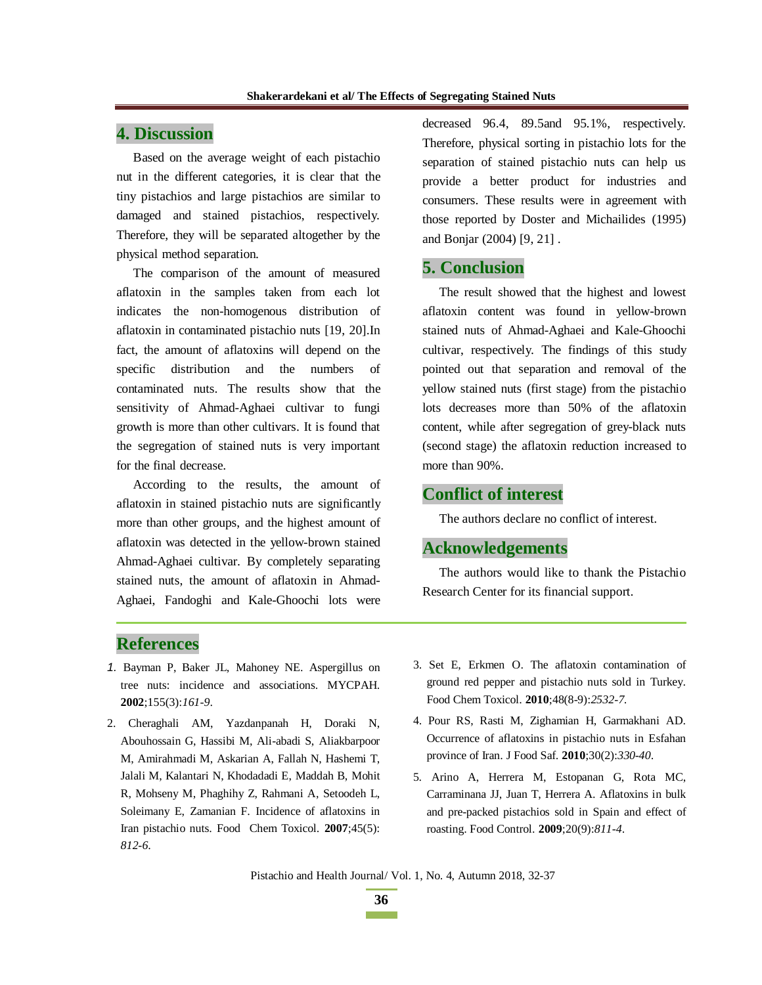# **4. Discussion**

Based on the average weight of each pistachio nut in the different categories, it is clear that the tiny pistachios and large pistachios are similar to damaged and stained pistachios, respectively. Therefore, they will be separated altogether by the physical method separation.

The comparison of the amount of measured aflatoxin in the samples taken from each lot indicates the non-homogenous distribution of aflatoxin in contaminated pistachio nuts [19, 20].In fact, the amount of aflatoxins will depend on the specific distribution and the numbers of contaminated nuts. The results show that the sensitivity of Ahmad-Aghaei cultivar to fungi growth is more than other cultivars. It is found that the segregation of stained nuts is very important for the final decrease.

According to the results, the amount of aflatoxin in stained pistachio nuts are significantly more than other groups, and the highest amount of aflatoxin was detected in the yellow-brown stained Ahmad-Aghaei cultivar. By completely separating stained nuts, the amount of aflatoxin in Ahmad-Aghaei, Fandoghi and Kale-Ghoochi lots were

decreased 96.4, 89.5and 95.1%, respectively. Therefore, physical sorting in pistachio lots for the separation of stained pistachio nuts can help us provide a better product for industries and consumers. These results were in agreement with those reported by Doster and Michailides (1995) and Bonjar (2004) [9, 21] .

## **5. Conclusion**

The result showed that the highest and lowest aflatoxin content was found in yellow-brown stained nuts of Ahmad-Aghaei and Kale-Ghoochi cultivar, respectively. The findings of this study pointed out that separation and removal of the yellow stained nuts (first stage) from the pistachio lots decreases more than 50% of the aflatoxin content, while after segregation of grey-black nuts (second stage) the aflatoxin reduction increased to more than 90%.

## **Conflict of interest**

The authors declare no conflict of interest.

# **Acknowledgements**

The authors would like to thank the Pistachio Research Center for its financial support.

## **References**

- *1.* Bayman P, Baker JL, Mahoney NE. Aspergillus on tree nuts: incidence and associations. MYCPAH. **2002**;155(3):*161-9*.
- 2. Cheraghali AM, Yazdanpanah H, Doraki N, Abouhossain G, Hassibi M, Ali-abadi S, Aliakbarpoor M, Amirahmadi M, Askarian A, Fallah N, Hashemi T, Jalali M, Kalantari N, Khodadadi E, Maddah B, Mohit R, Mohseny M, Phaghihy Z, Rahmani A, Setoodeh L, Soleimany E, Zamanian F. Incidence of aflatoxins in Iran pistachio nuts. Food Chem Toxicol. **2007**;45(5): *812-6*.
- 3. Set E, Erkmen O. The aflatoxin contamination of ground red pepper and pistachio nuts sold in Turkey. Food Chem Toxicol. **2010**;48(8-9):*2532-7*.
- 4. Pour RS, Rasti M, Zighamian H, Garmakhani AD. Occurrence of aflatoxins in pistachio nuts in Esfahan province of Iran. J Food Saf. **2010**;30(2):*330*-*40*.
- 5. Arino A, Herrera M, Estopanan G, Rota MC, Carraminana JJ, Juan T, Herrera A. Aflatoxins in bulk and pre-packed pistachios sold in Spain and effect of roasting. Food Control. **2009**;20(9):*811-4*.